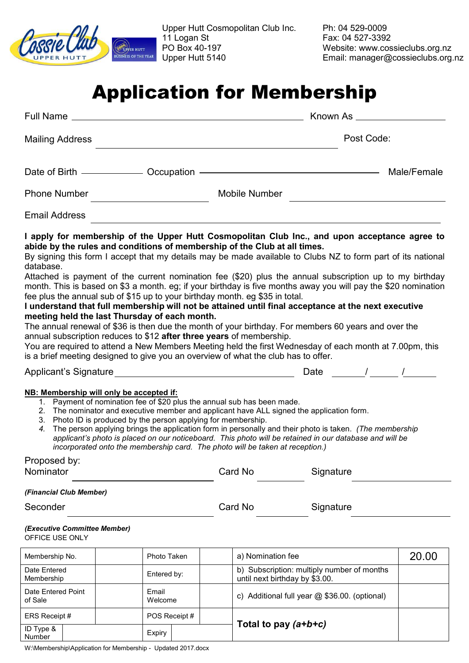

Upper Hutt Cosmopolitan Club Inc. Ph: 04 529-0009 11 Logan St Fax: 04 527-3392 PO Box 40-197 Website: www.cossieclubs.org.nz<br>Upper Hutt 5140 Email: manager@cossieclubs.org

Email: manager@cossieclubs.org.nz

## Application for Membership

| Full Name                                                                                                                                                                                                                                                                                                                                                                                                                                                                                                                                                                                                                                                                                                                                                                                                                                                                                                                                                                                                                                                                                                                                                                                                                                                                                                                                                                                                                                                                                                                                                                                            |        |                        | Known As ________ |                                |                                               |             |  |
|------------------------------------------------------------------------------------------------------------------------------------------------------------------------------------------------------------------------------------------------------------------------------------------------------------------------------------------------------------------------------------------------------------------------------------------------------------------------------------------------------------------------------------------------------------------------------------------------------------------------------------------------------------------------------------------------------------------------------------------------------------------------------------------------------------------------------------------------------------------------------------------------------------------------------------------------------------------------------------------------------------------------------------------------------------------------------------------------------------------------------------------------------------------------------------------------------------------------------------------------------------------------------------------------------------------------------------------------------------------------------------------------------------------------------------------------------------------------------------------------------------------------------------------------------------------------------------------------------|--------|------------------------|-------------------|--------------------------------|-----------------------------------------------|-------------|--|
| <b>Mailing Address</b>                                                                                                                                                                                                                                                                                                                                                                                                                                                                                                                                                                                                                                                                                                                                                                                                                                                                                                                                                                                                                                                                                                                                                                                                                                                                                                                                                                                                                                                                                                                                                                               |        |                        |                   | Post Code:                     |                                               |             |  |
|                                                                                                                                                                                                                                                                                                                                                                                                                                                                                                                                                                                                                                                                                                                                                                                                                                                                                                                                                                                                                                                                                                                                                                                                                                                                                                                                                                                                                                                                                                                                                                                                      |        |                        |                   |                                |                                               | Male/Female |  |
| <b>Mobile Number</b><br><b>Phone Number</b>                                                                                                                                                                                                                                                                                                                                                                                                                                                                                                                                                                                                                                                                                                                                                                                                                                                                                                                                                                                                                                                                                                                                                                                                                                                                                                                                                                                                                                                                                                                                                          |        |                        |                   |                                |                                               |             |  |
| <b>Email Address</b>                                                                                                                                                                                                                                                                                                                                                                                                                                                                                                                                                                                                                                                                                                                                                                                                                                                                                                                                                                                                                                                                                                                                                                                                                                                                                                                                                                                                                                                                                                                                                                                 |        |                        |                   |                                |                                               |             |  |
| I apply for membership of the Upper Hutt Cosmopolitan Club Inc., and upon acceptance agree to<br>abide by the rules and conditions of membership of the Club at all times.<br>By signing this form I accept that my details may be made available to Clubs NZ to form part of its national<br>database.<br>Attached is payment of the current nomination fee (\$20) plus the annual subscription up to my birthday<br>month. This is based on \$3 a month. eg; if your birthday is five months away you will pay the \$20 nomination<br>fee plus the annual sub of \$15 up to your birthday month. eg \$35 in total.<br>I understand that full membership will not be attained until final acceptance at the next executive<br>meeting held the last Thursday of each month.<br>The annual renewal of \$36 is then due the month of your birthday. For members 60 years and over the<br>annual subscription reduces to \$12 after three years of membership.<br>You are required to attend a New Members Meeting held the first Wednesday of each month at 7.00pm, this<br>is a brief meeting designed to give you an overview of what the club has to offer.<br>Date $\frac{1}{\sqrt{2\pi}}$<br>NB: Membership will only be accepted if:<br>1. Payment of nomination fee of \$20 plus the annual sub has been made.<br>2. The nominator and executive member and applicant have ALL signed the application form.<br>3. Photo ID is produced by the person applying for membership.<br>The person applying brings the application form in personally and their photo is taken. (The membership<br>4. |        |                        |                   |                                |                                               |             |  |
| applicant's photo is placed on our noticeboard. This photo will be retained in our database and will be<br>incorporated onto the membership card. The photo will be taken at reception.)<br>Proposed by:                                                                                                                                                                                                                                                                                                                                                                                                                                                                                                                                                                                                                                                                                                                                                                                                                                                                                                                                                                                                                                                                                                                                                                                                                                                                                                                                                                                             |        |                        |                   |                                |                                               |             |  |
| Card No<br>Nominator<br>Signature                                                                                                                                                                                                                                                                                                                                                                                                                                                                                                                                                                                                                                                                                                                                                                                                                                                                                                                                                                                                                                                                                                                                                                                                                                                                                                                                                                                                                                                                                                                                                                    |        |                        |                   |                                |                                               |             |  |
| (Financial Club Member)<br>Seconder<br>(Executive Committee Member)                                                                                                                                                                                                                                                                                                                                                                                                                                                                                                                                                                                                                                                                                                                                                                                                                                                                                                                                                                                                                                                                                                                                                                                                                                                                                                                                                                                                                                                                                                                                  |        |                        |                   | Card No                        | Signature                                     |             |  |
| OFFICE USE ONLY                                                                                                                                                                                                                                                                                                                                                                                                                                                                                                                                                                                                                                                                                                                                                                                                                                                                                                                                                                                                                                                                                                                                                                                                                                                                                                                                                                                                                                                                                                                                                                                      |        |                        |                   |                                |                                               |             |  |
| Membership No.<br>Date Entered                                                                                                                                                                                                                                                                                                                                                                                                                                                                                                                                                                                                                                                                                                                                                                                                                                                                                                                                                                                                                                                                                                                                                                                                                                                                                                                                                                                                                                                                                                                                                                       |        | Photo Taken            |                   | a) Nomination fee              | b) Subscription: multiply number of months    | 20.00       |  |
| Membership<br>Date Entered Point<br>of Sale                                                                                                                                                                                                                                                                                                                                                                                                                                                                                                                                                                                                                                                                                                                                                                                                                                                                                                                                                                                                                                                                                                                                                                                                                                                                                                                                                                                                                                                                                                                                                          | Email  | Entered by:<br>Welcome |                   | until next birthday by \$3.00. | c) Additional full year @ \$36.00. (optional) |             |  |
| ERS Receipt #                                                                                                                                                                                                                                                                                                                                                                                                                                                                                                                                                                                                                                                                                                                                                                                                                                                                                                                                                                                                                                                                                                                                                                                                                                                                                                                                                                                                                                                                                                                                                                                        |        | POS Receipt #          |                   |                                |                                               |             |  |
| ID Type &<br>Number                                                                                                                                                                                                                                                                                                                                                                                                                                                                                                                                                                                                                                                                                                                                                                                                                                                                                                                                                                                                                                                                                                                                                                                                                                                                                                                                                                                                                                                                                                                                                                                  | Expiry |                        |                   | Total to pay (a+b+c)           |                                               |             |  |